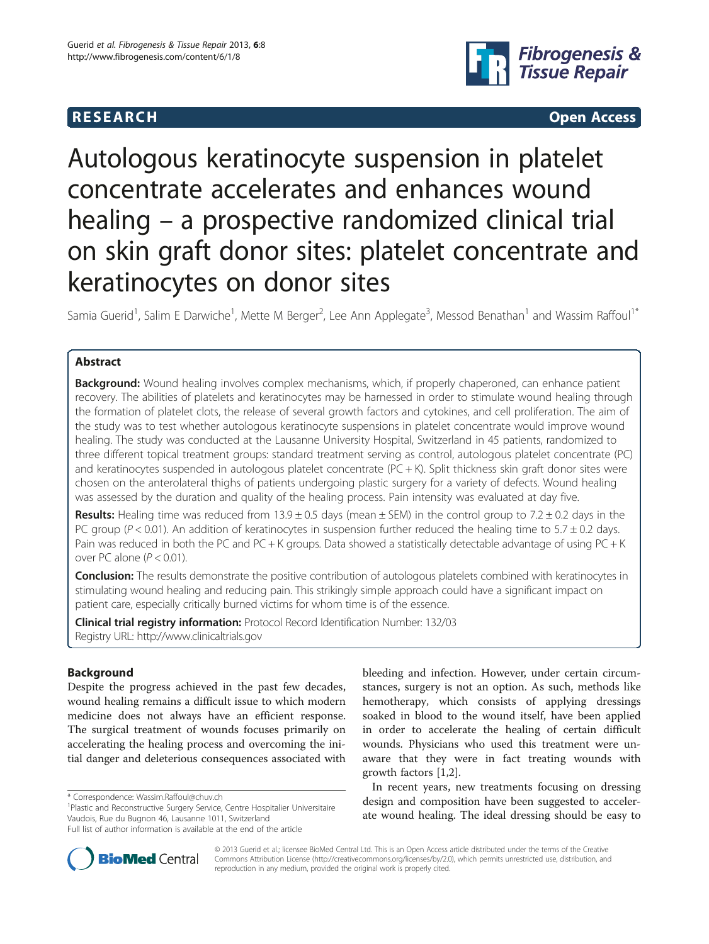# **RESEARCH CHINESEARCH CHINESEARCH CHINESE**



# Autologous keratinocyte suspension in platelet concentrate accelerates and enhances wound healing – a prospective randomized clinical trial on skin graft donor sites: platelet concentrate and keratinocytes on donor sites

Samia Guerid<sup>1</sup>, Salim E Darwiche<sup>1</sup>, Mette M Berger<sup>2</sup>, Lee Ann Applegate<sup>3</sup>, Messod Benathan<sup>1</sup> and Wassim Raffoul<sup>1\*</sup>

# Abstract

**Background:** Wound healing involves complex mechanisms, which, if properly chaperoned, can enhance patient recovery. The abilities of platelets and keratinocytes may be harnessed in order to stimulate wound healing through the formation of platelet clots, the release of several growth factors and cytokines, and cell proliferation. The aim of the study was to test whether autologous keratinocyte suspensions in platelet concentrate would improve wound healing. The study was conducted at the Lausanne University Hospital, Switzerland in 45 patients, randomized to three different topical treatment groups: standard treatment serving as control, autologous platelet concentrate (PC) and keratinocytes suspended in autologous platelet concentrate (PC + K). Split thickness skin graft donor sites were chosen on the anterolateral thighs of patients undergoing plastic surgery for a variety of defects. Wound healing was assessed by the duration and quality of the healing process. Pain intensity was evaluated at day five.

Results: Healing time was reduced from  $13.9 \pm 0.5$  days (mean  $\pm$  SEM) in the control group to 7.2  $\pm$  0.2 days in the PC group ( $P < 0.01$ ). An addition of keratinocytes in suspension further reduced the healing time to 5.7  $\pm$  0.2 days. Pain was reduced in both the PC and PC + K groups. Data showed a statistically detectable advantage of using PC + K over PC alone  $(P < 0.01)$ .

Conclusion: The results demonstrate the positive contribution of autologous platelets combined with keratinocytes in stimulating wound healing and reducing pain. This strikingly simple approach could have a significant impact on patient care, especially critically burned victims for whom time is of the essence.

Clinical trial registry information: Protocol Record Identification Number: 132/03 Registry URL: [http://www.clinicaltrials.gov](http://www.clinicaltrials.gov/)

# Background

Despite the progress achieved in the past few decades, wound healing remains a difficult issue to which modern medicine does not always have an efficient response. The surgical treatment of wounds focuses primarily on accelerating the healing process and overcoming the initial danger and deleterious consequences associated with

\* Correspondence: [Wassim.Raffoul@chuv.ch](mailto:Wassim.Raffoul@chuv.ch) <sup>1</sup>

<sup>1</sup>Plastic and Reconstructive Surgery Service, Centre Hospitalier Universitaire Vaudois, Rue du Bugnon 46, Lausanne 1011, Switzerland

bleeding and infection. However, under certain circumstances, surgery is not an option. As such, methods like hemotherapy, which consists of applying dressings soaked in blood to the wound itself, have been applied in order to accelerate the healing of certain difficult wounds. Physicians who used this treatment were unaware that they were in fact treating wounds with growth factors [\[1,2\]](#page-6-0).

In recent years, new treatments focusing on dressing design and composition have been suggested to accelerate wound healing. The ideal dressing should be easy to



© 2013 Guerid et al.; licensee BioMed Central Ltd. This is an Open Access article distributed under the terms of the Creative Commons Attribution License [\(http://creativecommons.org/licenses/by/2.0\)](http://creativecommons.org/licenses/by/2.0), which permits unrestricted use, distribution, and reproduction in any medium, provided the original work is properly cited.

Full list of author information is available at the end of the article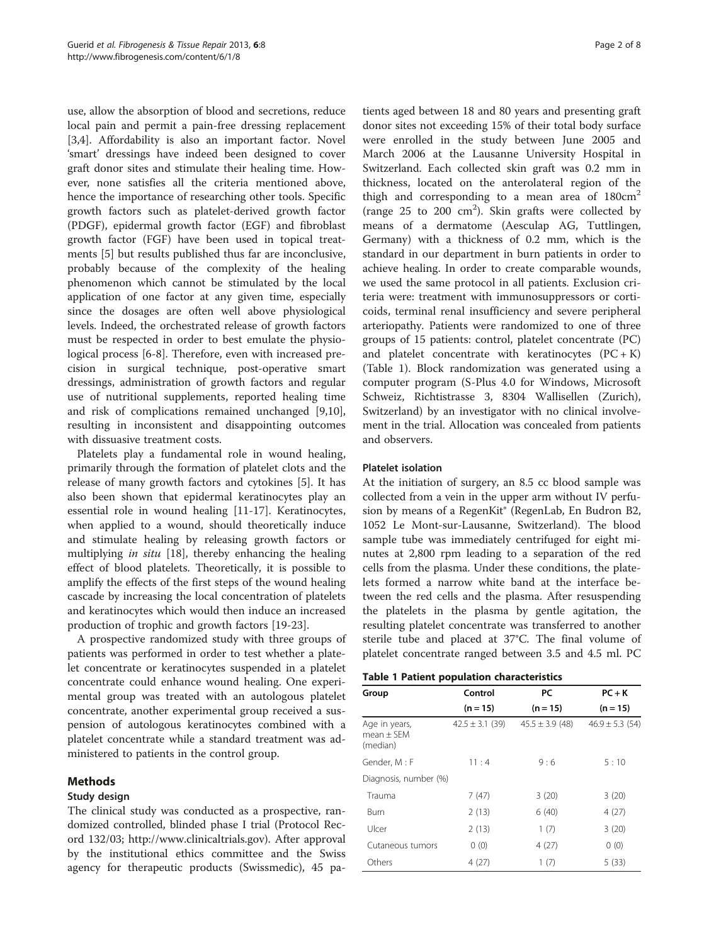<span id="page-1-0"></span>use, allow the absorption of blood and secretions, reduce local pain and permit a pain-free dressing replacement [[3,4\]](#page-6-0). Affordability is also an important factor. Novel 'smart' dressings have indeed been designed to cover graft donor sites and stimulate their healing time. However, none satisfies all the criteria mentioned above, hence the importance of researching other tools. Specific growth factors such as platelet-derived growth factor (PDGF), epidermal growth factor (EGF) and fibroblast growth factor (FGF) have been used in topical treatments [[5\]](#page-6-0) but results published thus far are inconclusive, probably because of the complexity of the healing phenomenon which cannot be stimulated by the local application of one factor at any given time, especially since the dosages are often well above physiological levels. Indeed, the orchestrated release of growth factors must be respected in order to best emulate the physiological process [[6](#page-6-0)-[8\]](#page-6-0). Therefore, even with increased precision in surgical technique, post-operative smart dressings, administration of growth factors and regular use of nutritional supplements, reported healing time and risk of complications remained unchanged [\[9,10](#page-6-0)], resulting in inconsistent and disappointing outcomes with dissuasive treatment costs.

Platelets play a fundamental role in wound healing, primarily through the formation of platelet clots and the release of many growth factors and cytokines [[5\]](#page-6-0). It has also been shown that epidermal keratinocytes play an essential role in wound healing [\[11](#page-6-0)-[17\]](#page-6-0). Keratinocytes, when applied to a wound, should theoretically induce and stimulate healing by releasing growth factors or multiplying in situ [[18\]](#page-6-0), thereby enhancing the healing effect of blood platelets. Theoretically, it is possible to amplify the effects of the first steps of the wound healing cascade by increasing the local concentration of platelets and keratinocytes which would then induce an increased production of trophic and growth factors [\[19](#page-6-0)-[23\]](#page-6-0).

A prospective randomized study with three groups of patients was performed in order to test whether a platelet concentrate or keratinocytes suspended in a platelet concentrate could enhance wound healing. One experimental group was treated with an autologous platelet concentrate, another experimental group received a suspension of autologous keratinocytes combined with a platelet concentrate while a standard treatment was administered to patients in the control group.

# Methods

# Study design

The clinical study was conducted as a prospective, randomized controlled, blinded phase I trial (Protocol Record 132/03;<http://www.clinicaltrials.gov>). After approval by the institutional ethics committee and the Swiss agency for therapeutic products (Swissmedic), 45 pa-

tients aged between 18 and 80 years and presenting graft donor sites not exceeding 15% of their total body surface were enrolled in the study between June 2005 and March 2006 at the Lausanne University Hospital in Switzerland. Each collected skin graft was 0.2 mm in thickness, located on the anterolateral region of the thigh and corresponding to a mean area of  $180 \text{cm}^2$ (range  $25$  to  $200 \text{ cm}^2$ ). Skin grafts were collected by means of a dermatome (Aesculap AG, Tuttlingen, Germany) with a thickness of 0.2 mm, which is the standard in our department in burn patients in order to achieve healing. In order to create comparable wounds, we used the same protocol in all patients. Exclusion criteria were: treatment with immunosuppressors or corticoids, terminal renal insufficiency and severe peripheral arteriopathy. Patients were randomized to one of three groups of 15 patients: control, platelet concentrate (PC) and platelet concentrate with keratinocytes  $(PC + K)$ (Table 1). Block randomization was generated using a computer program (S-Plus 4.0 for Windows, Microsoft Schweiz, Richtistrasse 3, 8304 Wallisellen (Zurich), Switzerland) by an investigator with no clinical involvement in the trial. Allocation was concealed from patients and observers.

# Platelet isolation

At the initiation of surgery, an 8.5 cc blood sample was collected from a vein in the upper arm without IV perfusion by means of a RegenKit® (RegenLab, En Budron B2, 1052 Le Mont-sur-Lausanne, Switzerland). The blood sample tube was immediately centrifuged for eight minutes at 2,800 rpm leading to a separation of the red cells from the plasma. Under these conditions, the platelets formed a narrow white band at the interface between the red cells and the plasma. After resuspending the platelets in the plasma by gentle agitation, the resulting platelet concentrate was transferred to another sterile tube and placed at 37°C. The final volume of platelet concentrate ranged between 3.5 and 4.5 ml. PC

|  |  |  | <b>Table 1 Patient population characteristics</b> |
|--|--|--|---------------------------------------------------|
|--|--|--|---------------------------------------------------|

| Group                                   | Control             | <b>PC</b>           | $PC + K$            |
|-----------------------------------------|---------------------|---------------------|---------------------|
|                                         | $(n = 15)$          | $(n = 15)$          | $(n = 15)$          |
| Age in years,<br>mean + SFM<br>(median) | $42.5 \pm 3.1$ (39) | $45.5 \pm 3.9$ (48) | $46.9 \pm 5.3$ (54) |
| Gender, M: F                            | 11:4                | 9:6                 | 5:10                |
| Diagnosis, number (%)                   |                     |                     |                     |
| Trauma                                  | 7(47)               | 3(20)               | 3(20)               |
| Burn                                    | 2(13)               | 6(40)               | 4(27)               |
| Ulcer                                   | 2(13)               | 1(7)                | 3(20)               |
| Cutaneous tumors                        | 0(0)                | 4(27)               | 0(0)                |
| Others                                  | 4(27)               | 1(7)                | 5(33)               |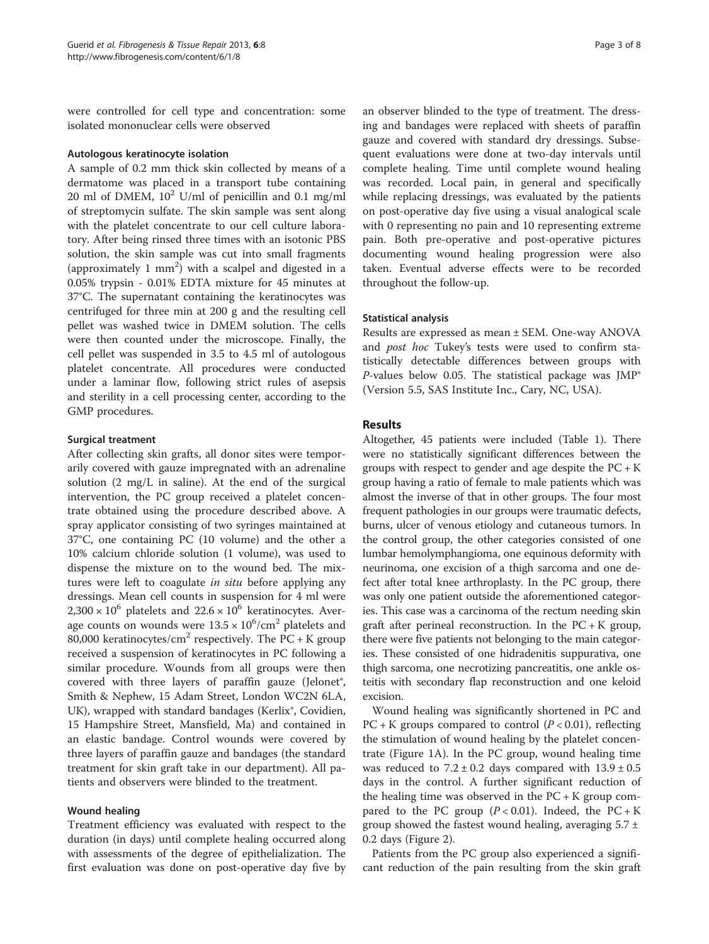were controlled for cell type and concentration: some isolated mononuclear cells were observed

#### Autologous keratinocyte isolation

A sample of 0.2 mm thick skin collected by means of a dermatome was placed in a transport tube containing 20 ml of DMEM,  $10^2$  U/ml of penicillin and 0.1 mg/ml of streptomycin sulfate. The skin sample was sent along with the platelet concentrate to our cell culture laboratory. After being rinsed three times with an isotonic PBS solution, the skin sample was cut into small fragments (approximately  $1 \text{ mm}^2$ ) with a scalpel and digested in a 0.05% trypsin - 0.01% EDTA mixture for 45 minutes at 37°C. The supernatant containing the keratinocytes was centrifuged for three min at 200 g and the resulting cell pellet was washed twice in DMEM solution. The cells were then counted under the microscope. Finally, the cell pellet was suspended in 3.5 to 4.5 ml of autologous platelet concentrate. All procedures were conducted under a laminar flow, following strict rules of asepsis and sterility in a cell processing center, according to the GMP procedures.

#### Surgical treatment

After collecting skin grafts, all donor sites were temporarily covered with gauze impregnated with an adrenaline solution (2 mg/L in saline). At the end of the surgical intervention, the PC group received a platelet concentrate obtained using the procedure described above. A spray applicator consisting of two syringes maintained at 37°C, one containing PC (10 volume) and the other a 10% calcium chloride solution (1 volume), was used to dispense the mixture on to the wound bed. The mixtures were left to coagulate in situ before applying any dressings. Mean cell counts in suspension for 4 ml were  $2,300 \times 10^6$  platelets and  $22.6 \times 10^6$  keratinocytes. Average counts on wounds were  $13.5 \times 10^6/\text{cm}^2$  platelets and 80,000 keratinocytes/cm<sup>2</sup> respectively. The PC + K group received a suspension of keratinocytes in PC following a similar procedure. Wounds from all groups were then covered with three layers of paraffin gauze (Jelonet®, Smith & Nephew, 15 Adam Street, London WC2N 6LA, UK), wrapped with standard bandages (Kerlix®, Covidien, 15 Hampshire Street, Mansfield, Ma) and contained in an elastic bandage. Control wounds were covered by three layers of paraffin gauze and bandages (the standard treatment for skin graft take in our department). All patients and observers were blinded to the treatment.

#### Wound healing

Treatment efficiency was evaluated with respect to the duration (in days) until complete healing occurred along with assessments of the degree of epithelialization. The first evaluation was done on post-operative day five by

an observer blinded to the type of treatment. The dressing and bandages were replaced with sheets of paraffin gauze and covered with standard dry dressings. Subsequent evaluations were done at two-day intervals until complete healing. Time until complete wound healing was recorded. Local pain, in general and specifically while replacing dressings, was evaluated by the patients on post-operative day five using a visual analogical scale with 0 representing no pain and 10 representing extreme pain. Both pre-operative and post-operative pictures documenting wound healing progression were also taken. Eventual adverse effects were to be recorded throughout the follow-up.

#### Statistical analysis

Results are expressed as mean ± SEM. One-way ANOVA and post hoc Tukey's tests were used to confirm statistically detectable differences between groups with P-values below 0.05. The statistical package was  $JMP^{\circ}$ (Version 5.5, SAS Institute Inc., Cary, NC, USA).

#### Results

Altogether, 45 patients were included (Table [1](#page-1-0)). There were no statistically significant differences between the groups with respect to gender and age despite the  $PC + K$ group having a ratio of female to male patients which was almost the inverse of that in other groups. The four most frequent pathologies in our groups were traumatic defects, burns, ulcer of venous etiology and cutaneous tumors. In the control group, the other categories consisted of one lumbar hemolymphangioma, one equinous deformity with neurinoma, one excision of a thigh sarcoma and one defect after total knee arthroplasty. In the PC group, there was only one patient outside the aforementioned categories. This case was a carcinoma of the rectum needing skin graft after perineal reconstruction. In the  ${PC} + K$  group, there were five patients not belonging to the main categories. These consisted of one hidradenitis suppurativa, one thigh sarcoma, one necrotizing pancreatitis, one ankle osteitis with secondary flap reconstruction and one keloid excision.

Wound healing was significantly shortened in PC and  $PC + K$  groups compared to control ( $P < 0.01$ ), reflecting the stimulation of wound healing by the platelet concentrate (Figure [1A](#page-3-0)). In the PC group, wound healing time was reduced to  $7.2 \pm 0.2$  days compared with  $13.9 \pm 0.5$ days in the control. A further significant reduction of the healing time was observed in the  $PC + K$  group compared to the PC group ( $P < 0.01$ ). Indeed, the PC + K group showed the fastest wound healing, averaging  $5.7 \pm$ 0.2 days (Figure [2](#page-4-0)).

Patients from the PC group also experienced a significant reduction of the pain resulting from the skin graft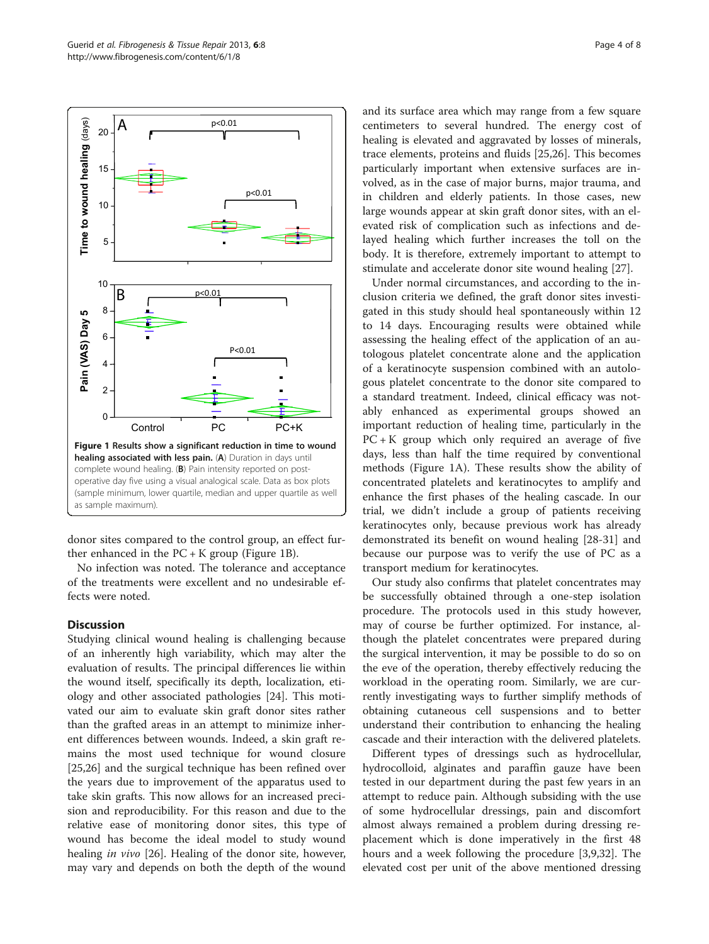<span id="page-3-0"></span>

donor sites compared to the control group, an effect further enhanced in the  $PC + K$  group (Figure 1B).

No infection was noted. The tolerance and acceptance of the treatments were excellent and no undesirable effects were noted.

# **Discussion**

Studying clinical wound healing is challenging because of an inherently high variability, which may alter the evaluation of results. The principal differences lie within the wound itself, specifically its depth, localization, etiology and other associated pathologies [[24](#page-6-0)]. This motivated our aim to evaluate skin graft donor sites rather than the grafted areas in an attempt to minimize inherent differences between wounds. Indeed, a skin graft remains the most used technique for wound closure [[25,26\]](#page-6-0) and the surgical technique has been refined over the years due to improvement of the apparatus used to take skin grafts. This now allows for an increased precision and reproducibility. For this reason and due to the relative ease of monitoring donor sites, this type of wound has become the ideal model to study wound healing *in vivo* [[26\]](#page-6-0). Healing of the donor site, however, may vary and depends on both the depth of the wound and its surface area which may range from a few square centimeters to several hundred. The energy cost of healing is elevated and aggravated by losses of minerals, trace elements, proteins and fluids [[25,26\]](#page-6-0). This becomes particularly important when extensive surfaces are involved, as in the case of major burns, major trauma, and in children and elderly patients. In those cases, new large wounds appear at skin graft donor sites, with an elevated risk of complication such as infections and delayed healing which further increases the toll on the body. It is therefore, extremely important to attempt to stimulate and accelerate donor site wound healing [[27\]](#page-6-0).

Under normal circumstances, and according to the inclusion criteria we defined, the graft donor sites investigated in this study should heal spontaneously within 12 to 14 days. Encouraging results were obtained while assessing the healing effect of the application of an autologous platelet concentrate alone and the application of a keratinocyte suspension combined with an autologous platelet concentrate to the donor site compared to a standard treatment. Indeed, clinical efficacy was notably enhanced as experimental groups showed an important reduction of healing time, particularly in the  $PC + K$  group which only required an average of five days, less than half the time required by conventional methods (Figure 1A). These results show the ability of concentrated platelets and keratinocytes to amplify and enhance the first phases of the healing cascade. In our trial, we didn't include a group of patients receiving keratinocytes only, because previous work has already demonstrated its benefit on wound healing [\[28](#page-6-0)-[31](#page-6-0)] and because our purpose was to verify the use of PC as a transport medium for keratinocytes.

Our study also confirms that platelet concentrates may be successfully obtained through a one-step isolation procedure. The protocols used in this study however, may of course be further optimized. For instance, although the platelet concentrates were prepared during the surgical intervention, it may be possible to do so on the eve of the operation, thereby effectively reducing the workload in the operating room. Similarly, we are currently investigating ways to further simplify methods of obtaining cutaneous cell suspensions and to better understand their contribution to enhancing the healing cascade and their interaction with the delivered platelets.

Different types of dressings such as hydrocellular, hydrocolloid, alginates and paraffin gauze have been tested in our department during the past few years in an attempt to reduce pain. Although subsiding with the use of some hydrocellular dressings, pain and discomfort almost always remained a problem during dressing replacement which is done imperatively in the first 48 hours and a week following the procedure [\[3,9](#page-6-0),[32](#page-6-0)]. The elevated cost per unit of the above mentioned dressing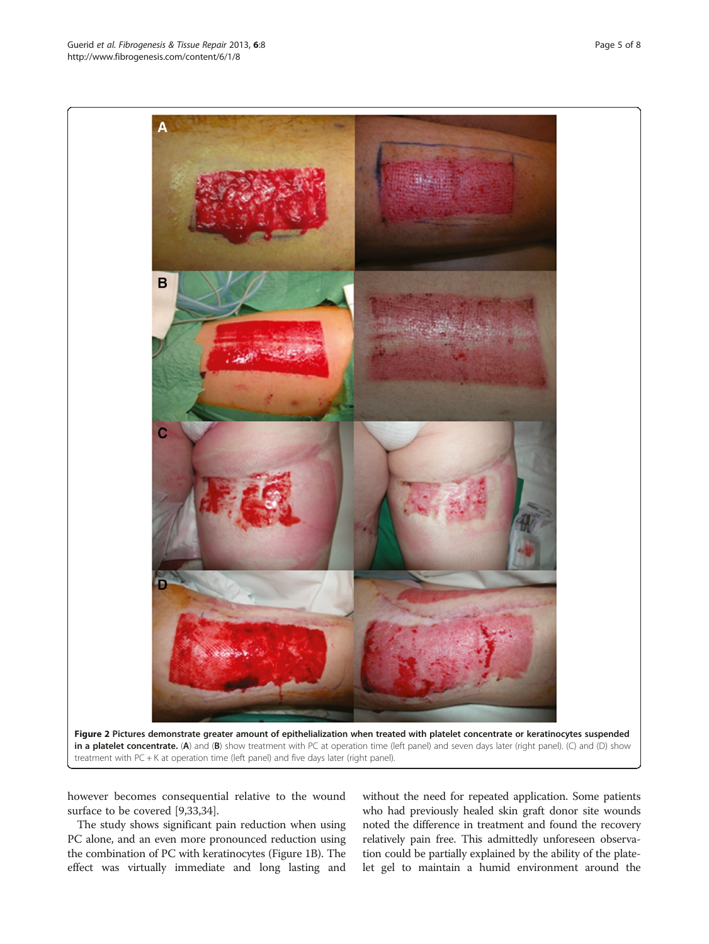<span id="page-4-0"></span>

however becomes consequential relative to the wound surface to be covered [\[9,33,34\]](#page-6-0).

The study shows significant pain reduction when using PC alone, and an even more pronounced reduction using the combination of PC with keratinocytes (Figure [1](#page-3-0)B). The effect was virtually immediate and long lasting and without the need for repeated application. Some patients who had previously healed skin graft donor site wounds noted the difference in treatment and found the recovery relatively pain free. This admittedly unforeseen observation could be partially explained by the ability of the platelet gel to maintain a humid environment around the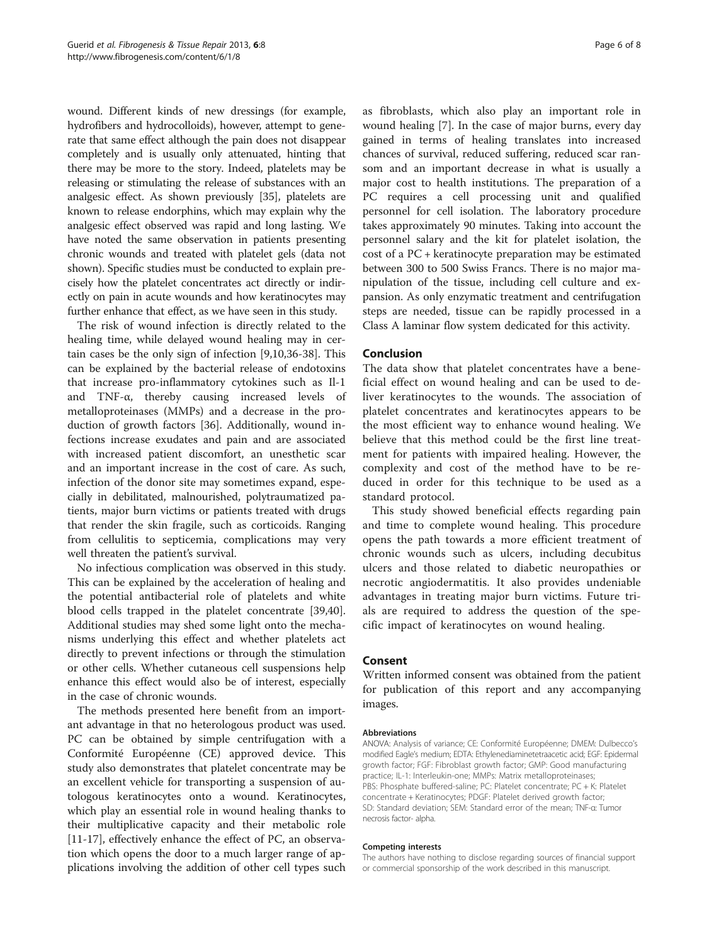wound. Different kinds of new dressings (for example, hydrofibers and hydrocolloids), however, attempt to generate that same effect although the pain does not disappear completely and is usually only attenuated, hinting that there may be more to the story. Indeed, platelets may be releasing or stimulating the release of substances with an analgesic effect. As shown previously [[35\]](#page-6-0), platelets are known to release endorphins, which may explain why the analgesic effect observed was rapid and long lasting. We have noted the same observation in patients presenting chronic wounds and treated with platelet gels (data not shown). Specific studies must be conducted to explain precisely how the platelet concentrates act directly or indirectly on pain in acute wounds and how keratinocytes may further enhance that effect, as we have seen in this study.

The risk of wound infection is directly related to the healing time, while delayed wound healing may in certain cases be the only sign of infection [[9,10,](#page-6-0)[36-38\]](#page-7-0). This can be explained by the bacterial release of endotoxins that increase pro-inflammatory cytokines such as Il-1 and TNF-α, thereby causing increased levels of metalloproteinases (MMPs) and a decrease in the production of growth factors [\[36](#page-7-0)]. Additionally, wound infections increase exudates and pain and are associated with increased patient discomfort, an unesthetic scar and an important increase in the cost of care. As such, infection of the donor site may sometimes expand, especially in debilitated, malnourished, polytraumatized patients, major burn victims or patients treated with drugs that render the skin fragile, such as corticoids. Ranging from cellulitis to septicemia, complications may very well threaten the patient's survival.

No infectious complication was observed in this study. This can be explained by the acceleration of healing and the potential antibacterial role of platelets and white blood cells trapped in the platelet concentrate [\[39,40](#page-7-0)]. Additional studies may shed some light onto the mechanisms underlying this effect and whether platelets act directly to prevent infections or through the stimulation or other cells. Whether cutaneous cell suspensions help enhance this effect would also be of interest, especially in the case of chronic wounds.

The methods presented here benefit from an important advantage in that no heterologous product was used. PC can be obtained by simple centrifugation with a Conformité Européenne (CE) approved device. This study also demonstrates that platelet concentrate may be an excellent vehicle for transporting a suspension of autologous keratinocytes onto a wound. Keratinocytes, which play an essential role in wound healing thanks to their multiplicative capacity and their metabolic role [[11-17](#page-6-0)], effectively enhance the effect of PC, an observation which opens the door to a much larger range of applications involving the addition of other cell types such as fibroblasts, which also play an important role in wound healing [\[7](#page-6-0)]. In the case of major burns, every day gained in terms of healing translates into increased chances of survival, reduced suffering, reduced scar ransom and an important decrease in what is usually a major cost to health institutions. The preparation of a PC requires a cell processing unit and qualified personnel for cell isolation. The laboratory procedure takes approximately 90 minutes. Taking into account the personnel salary and the kit for platelet isolation, the cost of a PC + keratinocyte preparation may be estimated between 300 to 500 Swiss Francs. There is no major manipulation of the tissue, including cell culture and expansion. As only enzymatic treatment and centrifugation steps are needed, tissue can be rapidly processed in a Class A laminar flow system dedicated for this activity.

# Conclusion

The data show that platelet concentrates have a beneficial effect on wound healing and can be used to deliver keratinocytes to the wounds. The association of platelet concentrates and keratinocytes appears to be the most efficient way to enhance wound healing. We believe that this method could be the first line treatment for patients with impaired healing. However, the complexity and cost of the method have to be reduced in order for this technique to be used as a standard protocol.

This study showed beneficial effects regarding pain and time to complete wound healing. This procedure opens the path towards a more efficient treatment of chronic wounds such as ulcers, including decubitus ulcers and those related to diabetic neuropathies or necrotic angiodermatitis. It also provides undeniable advantages in treating major burn victims. Future trials are required to address the question of the specific impact of keratinocytes on wound healing.

#### Consent

Written informed consent was obtained from the patient for publication of this report and any accompanying images.

#### Abbreviations

ANOVA: Analysis of variance; CE: Conformité Européenne; DMEM: Dulbecco's modified Eagle's medium; EDTA: Ethylenediaminetetraacetic acid; EGF: Epidermal growth factor; FGF: Fibroblast growth factor; GMP: Good manufacturing practice; IL-1: Interleukin-one; MMPs: Matrix metalloproteinases; PBS: Phosphate buffered-saline; PC: Platelet concentrate; PC + K: Platelet concentrate + Keratinocytes; PDGF: Platelet derived growth factor; SD: Standard deviation; SEM: Standard error of the mean; TNF-α: Tumor necrosis factor- alpha.

#### Competing interests

The authors have nothing to disclose regarding sources of financial support or commercial sponsorship of the work described in this manuscript.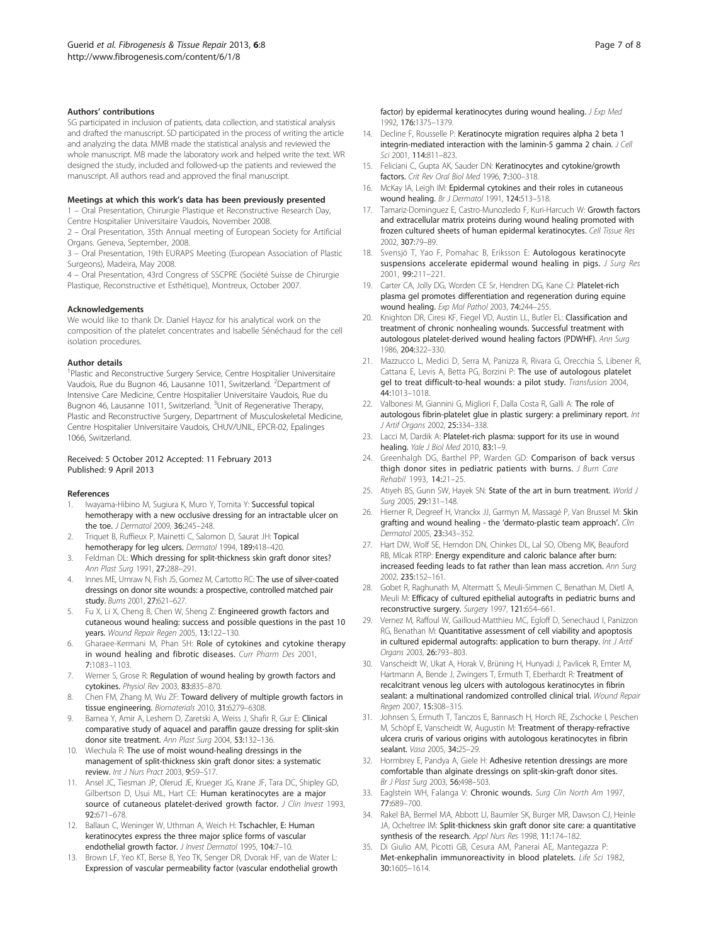#### <span id="page-6-0"></span>Authors' contributions

SG participated in inclusion of patients, data collection, and statistical analysis and drafted the manuscript. SD participated in the process of writing the article and analyzing the data. MMB made the statistical analysis and reviewed the whole manuscript. MB made the laboratory work and helped write the text. WR designed the study, included and followed-up the patients and reviewed the manuscript. All authors read and approved the final manuscript.

#### Meetings at which this work's data has been previously presented

1 – Oral Presentation, Chirurgie Plastique et Reconstructive Research Day,

Centre Hospitalier Universitaire Vaudois, November 2008.

2 – Oral Presentation, 35th Annual meeting of European Society for Artificial Organs. Geneva, September, 2008.

3 – Oral Presentation, 19th EURAPS Meeting (European Association of Plastic Surgeons), Madeira, May 2008.

4 – Oral Presentation, 43rd Congress of SSCPRE (Société Suisse de Chirurgie Plastique, Reconstructive et Esthétique), Montreux, October 2007.

#### Acknowledgements

We would like to thank Dr. Daniel Hayoz for his analytical work on the composition of the platelet concentrates and Isabelle Sénéchaud for the cell isolation procedures.

#### Author details

<sup>1</sup>Plastic and Reconstructive Surgery Service, Centre Hospitalier Universitaire Vaudois, Rue du Bugnon 46, Lausanne 1011, Switzerland. <sup>2</sup>Department of Intensive Care Medicine, Centre Hospitalier Universitaire Vaudois, Rue du Bugnon 46, Lausanne 1011, Switzerland. <sup>3</sup>Unit of Regenerative Therapy, Plastic and Reconstructive Surgery, Department of Musculoskeletal Medicine, Centre Hospitalier Universitaire Vaudois, CHUV/UNIL, EPCR-02, Epalinges 1066, Switzerland.

#### Received: 5 October 2012 Accepted: 11 February 2013 Published: 9 April 2013

#### References

- 1. Iwayama-Hibino M, Sugiura K, Muro Y, Tomita Y: Successful topical hemotherapy with a new occlusive dressing for an intractable ulcer on the toe. *J Dermatol* 2009, 36:245-248.
- 2. Triquet B, Ruffieux P, Mainetti C, Salomon D, Saurat JH: Topical hemotherapy for leg ulcers. Dermatol 1994, 189:418–420.
- 3. Feldman DL: Which dressing for split-thickness skin graft donor sites? Ann Plast Surg 1991, 27:288–291.
- 4. Innes ME, Umraw N, Fish JS, Gomez M, Cartotto RC: The use of silver-coated dressings on donor site wounds: a prospective, controlled matched pair study. Burns 2001, 27:621–627.
- 5. Fu X, Li X, Cheng B, Chen W, Sheng Z: Engineered growth factors and cutaneous wound healing: success and possible questions in the past 10 years. Wound Repair Regen 2005, 13:122–130.
- 6. Gharaee-Kermani M, Phan SH: Role of cytokines and cytokine therapy in wound healing and fibrotic diseases. Curr Pharm Des 2001, 7:1083–1103.
- 7. Werner S, Grose R: Regulation of wound healing by growth factors and cytokines. Physiol Rev 2003, 83:835–870.
- 8. Chen FM, Zhang M, Wu ZF: Toward delivery of multiple growth factors in tissue engineering. Biomaterials 2010, 31:6279–6308.
- 9. Barnea Y, Amir A, Leshem D, Zaretski A, Weiss J, Shafir R, Gur E: Clinical comparative study of aquacel and paraffin gauze dressing for split-skin donor site treatment. Ann Plast Surg 2004, 53:132-136.
- 10. Wiechula R: The use of moist wound-healing dressings in the management of split-thickness skin graft donor sites: a systematic review. Int J Nurs Pract 2003, 9:S9–S17.
- 11. Ansel JC, Tiesman JP, Olerud JE, Krueger JG, Krane JF, Tara DC, Shipley GD, Gilbertson D, Usui ML, Hart CE: Human keratinocytes are a major source of cutaneous platelet-derived growth factor. J Clin Invest 1993, 92:671–678.
- 12. Ballaun C, Weninger W, Uthman A, Weich H: Tschachler, E: Human keratinocytes express the three major splice forms of vascular endothelial growth factor. J Invest Dermatol 1995, 104:7–10.
- 13. Brown LF, Yeo KT, Berse B, Yeo TK, Senger DR, Dvorak HF, van de Water L: Expression of vascular permeability factor (vascular endothelial growth

factor) by epidermal keratinocytes during wound healing. J Exp Med 1992, 176:1375–1379.

- 14. Decline F, Rousselle P: Keratinocyte migration requires alpha 2 beta 1 integrin-mediated interaction with the laminin-5 gamma 2 chain. J Cell Sci 2001, 114:811–823.
- 15. Feliciani C, Gupta AK, Sauder DN: Keratinocytes and cytokine/growth factors. Crit Rev Oral Biol Med 1996, 7:300–318.
- 16. McKay IA, Leigh IM: Epidermal cytokines and their roles in cutaneous wound healing. Br J Dermatol 1991, 124:513–518.
- 17. Tamariz-Dominguez E, Castro-Munozledo F, Kuri-Harcuch W: Growth factors and extracellular matrix proteins during wound healing promoted with frozen cultured sheets of human epidermal keratinocytes. Cell Tissue Res 2002, 307:79–89.
- 18. Svensjö T, Yao F, Pomahac B, Eriksson E: Autologous keratinocyte suspensions accelerate epidermal wound healing in pigs. J Surg Res 2001, 99:211–221.
- 19. Carter CA, Jolly DG, Worden CE Sr, Hendren DG, Kane CJ: Platelet-rich plasma gel promotes differentiation and regeneration during equine wound healing. Exp Mol Pathol 2003, 74:244–255.
- 20. Knighton DR, Ciresi KF, Fiegel VD, Austin LL, Butler EL: Classification and treatment of chronic nonhealing wounds. Successful treatment with autologous platelet-derived wound healing factors (PDWHF). Ann Surg 1986, 204:322–330.
- 21. Mazzucco L, Medici D, Serra M, Panizza R, Rivara G, Orecchia S, Libener R, Cattana E, Levis A, Betta PG, Borzini P: The use of autologous platelet gel to treat difficult-to-heal wounds: a pilot study. Transfusion 2004, 44:1013–1018.
- 22. Valbonesi M, Giannini G, Migliori F, Dalla Costa R, Galli A: The role of autologous fibrin-platelet glue in plastic surgery: a preliminary report. Int J Artif Organs 2002, 25:334–338.
- 23. Lacci M, Dardik A: Platelet-rich plasma: support for its use in wound healing. Yale J Biol Med 2010, 83:1-9.
- 24. Greenhalgh DG, Barthel PP, Warden GD: Comparison of back versus thigh donor sites in pediatric patients with burns. J Burn Care Rehabil 1993, 14:21–25.
- 25. Atiyeh BS, Gunn SW, Hayek SN: State of the art in burn treatment. World J Surg 2005, 29:131–148.
- 26. Hierner R, Degreef H, Vranckx JJ, Garmyn M, Massagé P, Van Brussel M: Skin grafting and wound healing - the 'dermato-plastic team approach'. Clin Dermatol 2005, 23:343–352.
- 27. Hart DW, Wolf SE, Herndon DN, Chinkes DL, Lal SO, Obeng MK, Beauford RB, Mlcak RTRP: Energy expenditure and caloric balance after burn: increased feeding leads to fat rather than lean mass accretion. Ann Surg 2002, 235:152–161.
- 28. Gobet R, Raghunath M, Altermatt S, Meuli-Simmen C, Benathan M, Dietl A, Meuli M: Efficacy of cultured epithelial autografts in pediatric burns and reconstructive surgery. Surgery 1997, 121:654–661.
- 29. Vernez M, Raffoul W, Gailloud-Matthieu MC, Egloff D, Senechaud I, Panizzon RG, Benathan M: Quantitative assessment of cell viability and apoptosis in cultured epidermal autografts: application to burn therapy. Int J Artif Organs 2003, 26:793–803.
- 30. Vanscheidt W, Ukat A, Horak V, Brüning H, Hunyadi J, Pavlicek R, Emter M, Hartmann A, Bende J, Zwingers T, Ermuth T, Eberhardt R: Treatment of recalcitrant venous leg ulcers with autologous keratinocytes in fibrin sealant: a multinational randomized controlled clinical trial. Wound Repair Regen 2007, 15:308–315.
- 31. Johnsen S, Ermuth T, Tanczos E, Bannasch H, Horch RE, Zschocke I, Peschen M, Schöpf E, Vanscheidt W, Augustin M: Treatment of therapy-refractive ulcera cruris of various origins with autologous keratinocytes in fibrin sealant. Vasa 2005, 34:25–29.
- 32. Hormbrey E, Pandya A, Giele H: Adhesive retention dressings are more comfortable than alginate dressings on split-skin-graft donor sites. Br J Plast Surg 2003, 56:498–503.
- 33. Eaglstein WH, Falanga V: Chronic wounds. Surg Clin North Am 1997, 77:689–700.
- 34. Rakel BA, Bermel MA, Abbott LI, Baumler SK, Burger MR, Dawson CJ, Heinle JA, Ocheltree IM: Split-thickness skin graft donor site care: a quantitative synthesis of the research. Appl Nurs Res 1998, 11:174–182.
- 35. Di Giulio AM, Picotti GB, Cesura AM, Panerai AE, Mantegazza P: Met-enkephalin immunoreactivity in blood platelets. Life Sci 1982, 30:1605–1614.